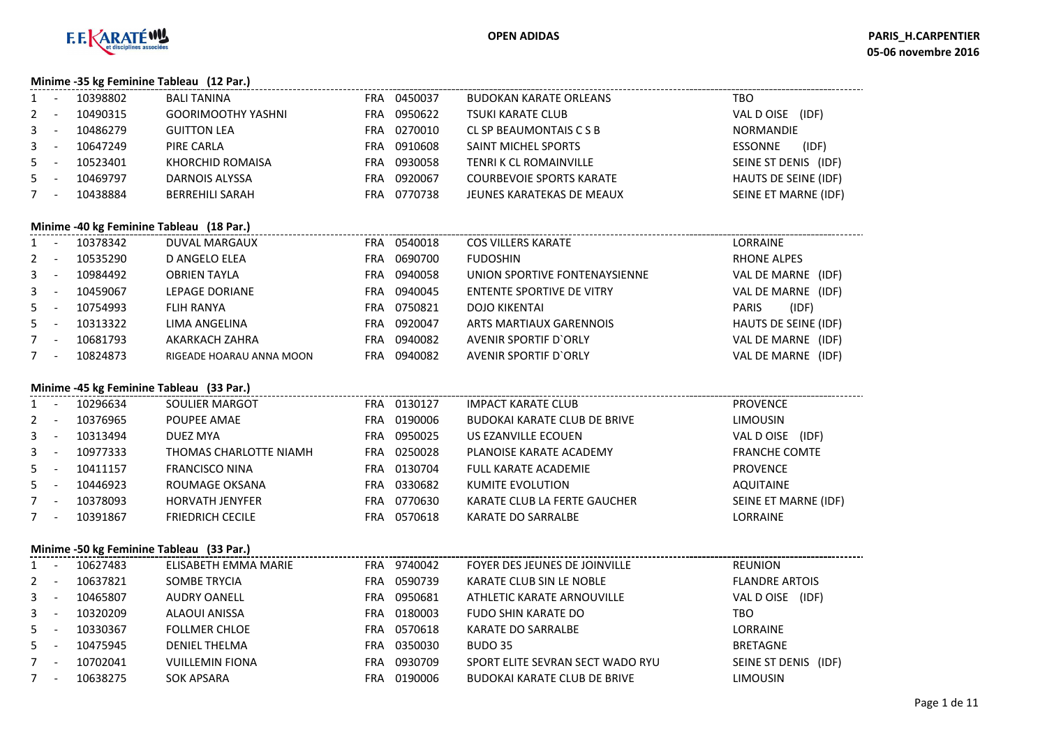

**Minime -35 kg Feminine Tableau (12 Par.)**

|                | 10398802 | <b>BALI TANINA</b>        | <b>FRA</b> | 0450037 | <b>BUDOKAN KARATE ORLEANS</b>   | TBO                     |  |  |  |  |  |
|----------------|----------|---------------------------|------------|---------|---------------------------------|-------------------------|--|--|--|--|--|
| $2^{\circ}$    | 10490315 | <b>GOORIMOOTHY YASHNI</b> | FRA        | 0950622 | <b>TSUKI KARATE CLUB</b>        | (IDF)<br>VAL D OISE     |  |  |  |  |  |
| $\mathbf{3}$   | 10486279 | <b>GUITTON LEA</b>        | FRA        | 0270010 | CL SP BEAUMONTAIS C S B         | <b>NORMANDIE</b>        |  |  |  |  |  |
| 3 <sup>1</sup> | 10647249 | PIRE CARLA                | FRA        | 0910608 | SAINT MICHEL SPORTS             | (IDF)<br><b>ESSONNE</b> |  |  |  |  |  |
| 5              | 10523401 | KHORCHID ROMAISA          | FRA        | 0930058 | TENRI K CL ROMAINVILLE          | SEINE ST DENIS (IDF)    |  |  |  |  |  |
| 5              | 10469797 | DARNOIS ALYSSA            | FRA        | 0920067 | <b>COURBEVOIE SPORTS KARATE</b> | HAUTS DE SEINE (IDF)    |  |  |  |  |  |
|                | 10438884 | <b>BERREHILI SARAH</b>    | FRA        | 0770738 | JEUNES KARATEKAS DE MEAUX       | SEINE ET MARNE (IDF)    |  |  |  |  |  |
|                |          |                           |            |         |                                 |                         |  |  |  |  |  |

# **Minime -40 kg Feminine Tableau (18 Par.)**

|       | $\frac{1}{2}$ iven the $\frac{1}{2}$ of $\frac{1}{2}$ of $\frac{1}{2}$ of $\frac{1}{2}$ of $\frac{1}{2}$ of $\frac{1}{2}$ of $\frac{1}{2}$ |          |                          |     |         |                               |                       |  |  |  |  |  |
|-------|--------------------------------------------------------------------------------------------------------------------------------------------|----------|--------------------------|-----|---------|-------------------------------|-----------------------|--|--|--|--|--|
| $1 -$ |                                                                                                                                            | 10378342 | DUVAL MARGAUX            | FRA | 0540018 | <b>COS VILLERS KARATE</b>     | LORRAINE              |  |  |  |  |  |
| $2 -$ |                                                                                                                                            | 10535290 | D ANGELO ELEA            | FRA | 0690700 | <b>FUDOSHIN</b>               | <b>RHONE ALPES</b>    |  |  |  |  |  |
| $3 -$ |                                                                                                                                            | 10984492 | <b>OBRIEN TAYLA</b>      | FRA | 0940058 | UNION SPORTIVE FONTENAYSIENNE | VAL DE MARNE<br>(IDF) |  |  |  |  |  |
| $3 -$ |                                                                                                                                            | 10459067 | LEPAGE DORIANE           | FRA | 0940045 | ENTENTE SPORTIVE DE VITRY     | VAL DE MARNE (IDF)    |  |  |  |  |  |
| $5 -$ |                                                                                                                                            | 10754993 | FLIH RANYA               | FRA | 0750821 | <b>DOJO KIKENTAI</b>          | (IDF)<br><b>PARIS</b> |  |  |  |  |  |
| $5 -$ |                                                                                                                                            | 10313322 | LIMA ANGELINA            | FRA | 0920047 | ARTS MARTIAUX GARENNOIS       | HAUTS DE SEINE (IDF)  |  |  |  |  |  |
| $7 -$ |                                                                                                                                            | 10681793 | AKARKACH ZAHRA           | FRA | 0940082 | AVENIR SPORTIF D'ORLY         | VAL DE MARNE (IDF)    |  |  |  |  |  |
| $7 -$ |                                                                                                                                            | 10824873 | RIGEADE HOARAU ANNA MOON | FRA | 0940082 | AVENIR SPORTIF D'ORLY         | VAL DE MARNE (IDF)    |  |  |  |  |  |
|       |                                                                                                                                            |          |                          |     |         |                               |                       |  |  |  |  |  |

#### **Minime -45 kg Feminine Tableau (33 Par.)**

|              | $\overline{\phantom{a}}$ | 10296634 | SOULIER MARGOT          | FRA | 0130127 | IMPACT KARATE CLUB                  | <b>PROVENCE</b>      |
|--------------|--------------------------|----------|-------------------------|-----|---------|-------------------------------------|----------------------|
| $2 -$        |                          | 10376965 | POUPEE AMAE             | FRA | 0190006 | <b>BUDOKAI KARATE CLUB DE BRIVE</b> | <b>LIMOUSIN</b>      |
| $\mathbf{3}$ | $\overline{\phantom{a}}$ | 10313494 | DUEZ MYA                | FRA | 0950025 | US EZANVILLE ECOUEN                 | (IDF)<br>VAL D OISE  |
| $\mathbf{3}$ | $\overline{\phantom{a}}$ | 10977333 | THOMAS CHARLOTTE NIAMH  | FRA | 0250028 | PLANOISE KARATE ACADEMY             | <b>FRANCHE COMTE</b> |
| $5 -$        |                          | 10411157 | <b>FRANCISCO NINA</b>   | FRA | 0130704 | <b>FULL KARATE ACADEMIE</b>         | <b>PROVENCE</b>      |
| $5 -$        |                          | 10446923 | ROUMAGE OKSANA          | FRA | 0330682 | KUMITE EVOLUTION                    | <b>AQUITAINE</b>     |
|              | $\overline{\phantom{a}}$ | 10378093 | <b>HORVATH JENYFER</b>  | FRA | 0770630 | KARATE CLUB LA FERTE GAUCHER        | SEINE ET MARNE (IDF) |
|              | $\overline{\phantom{a}}$ | 10391867 | <b>FRIEDRICH CECILE</b> | FRA | 0570618 | KARATE DO SARRALBE                  | LORRAINE             |
|              |                          |          |                         |     |         |                                     |                      |

### **Minime -50 kg Feminine Tableau (33 Par.)**

| $1 -$   |  | 10627483 | ELISABETH EMMA MARIE   | FRA | 9740042 | FOYER DES JEUNES DE JOINVILLE       | <b>REUNION</b>          |  |  |  |  |  |
|---------|--|----------|------------------------|-----|---------|-------------------------------------|-------------------------|--|--|--|--|--|
| $2 -$   |  | 10637821 | SOMBE TRYCIA           | FRA | 0590739 | KARATE CLUB SIN LE NOBLE            | <b>FLANDRE ARTOIS</b>   |  |  |  |  |  |
| $3 -$   |  | 10465807 | <b>AUDRY OANELL</b>    | FRA | 0950681 | ATHLETIC KARATE ARNOUVILLE          | (IDF)<br>VAL DOISE      |  |  |  |  |  |
| $3 - 5$ |  | 10320209 | ALAOUI ANISSA          | FRA | 0180003 | FUDO SHIN KARATE DO                 | TBO                     |  |  |  |  |  |
| $5 -$   |  | 10330367 | <b>FOLLMER CHLOE</b>   | FRA | 0570618 | KARATE DO SARRALBE                  | <b>LORRAINE</b>         |  |  |  |  |  |
| $5 -$   |  | 10475945 | DENIEL THELMA          | FRA | 0350030 | BUDO 35                             | <b>BRETAGNE</b>         |  |  |  |  |  |
| $7 -$   |  | 10702041 | <b>VUILLEMIN FIONA</b> | FRA | 0930709 | SPORT ELITE SEVRAN SECT WADO RYU    | SEINE ST DENIS<br>(IDF) |  |  |  |  |  |
| $7 -$   |  | 10638275 | SOK APSARA             | FRA | 0190006 | <b>BUDOKAI KARATE CLUB DE BRIVE</b> | LIMOUSIN                |  |  |  |  |  |
|         |  |          |                        |     |         |                                     |                         |  |  |  |  |  |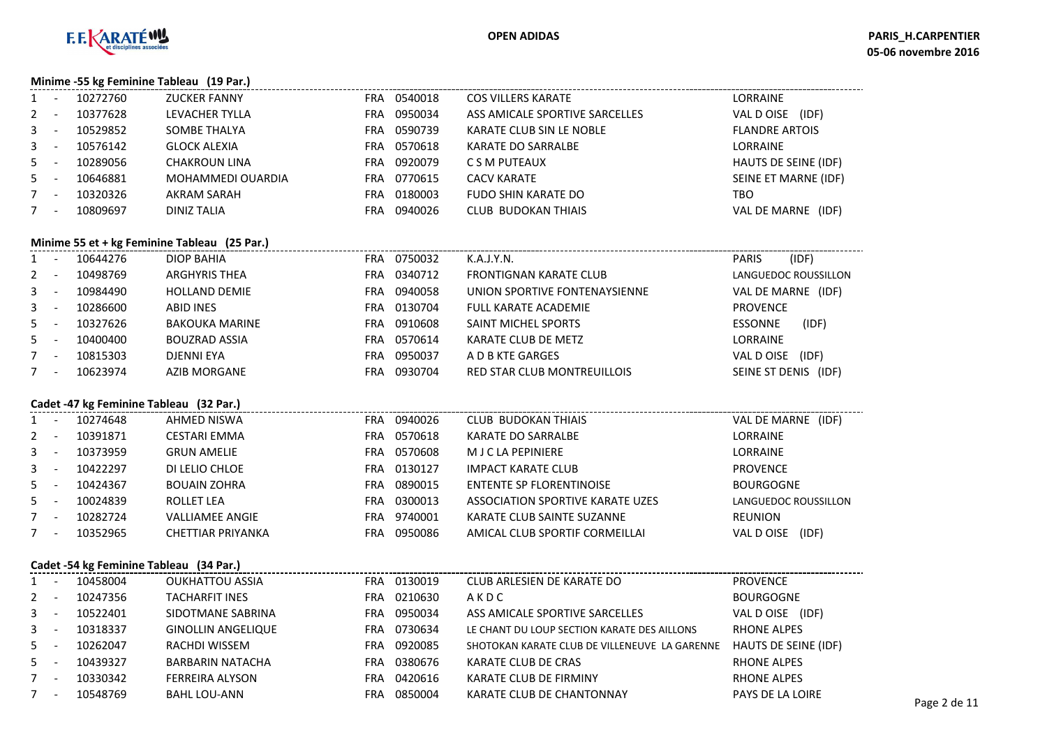

**Minime -55 kg Feminine Tableau (19 Par.)**

| $\mathbf{1}$ | 10272760 | <b>ZUCKER FANNY</b> | <b>FRA</b> | 0540018 | <b>COS VILLERS KARATE</b>      | LORRAINE                     |
|--------------|----------|---------------------|------------|---------|--------------------------------|------------------------------|
| $2^{\circ}$  | 10377628 | LEVACHER TYLLA      | <b>FRA</b> | 0950034 | ASS AMICALE SPORTIVE SARCELLES | VAL D OISE<br>(IDF)          |
| 3            | 10529852 | SOMBE THALYA        | FRA        | 0590739 | KARATE CLUB SIN LE NOBLE       | <b>FLANDRE ARTOIS</b>        |
| 3            | 10576142 | <b>GLOCK ALEXIA</b> | FRA        | 0570618 | KARATE DO SARRALBE             | LORRAINE                     |
| 5            | 10289056 | CHAKROUN LINA       | <b>FRA</b> | 0920079 | C S M PUTEAUX                  | <b>HAUTS DE SEINE (IDF)</b>  |
| $5 -$        | 10646881 | MOHAMMEDI OUARDIA   | <b>FRA</b> | 0770615 | <b>CACV KARATE</b>             | SEINE ET MARNE (IDF)         |
|              | 10320326 | <b>AKRAM SARAH</b>  | FRA        | 0180003 | <b>FUDO SHIN KARATE DO</b>     | TBO                          |
|              | 10809697 | DINIZ TALIA         | FRA        | 0940026 | <b>CLUB BUDOKAN THIAIS</b>     | <b>VAL DE MARNE</b><br>(IDF) |
|              |          |                     |            |         |                                |                              |

#### **Minime 55 et + kg Feminine Tableau (25 Par.)**

| $1 -$   |                          | 10644276 | DIOP BAHIA            | FRA | 0750032 | K.A.J.Y.N.                         | <b>PARIS</b>       | (IDF)                |
|---------|--------------------------|----------|-----------------------|-----|---------|------------------------------------|--------------------|----------------------|
| $2 -$   |                          | 10498769 | <b>ARGHYRIS THEA</b>  | FRA | 0340712 | <b>FRONTIGNAN KARATE CLUB</b>      |                    | LANGUEDOC ROUSSILLON |
| $3 - -$ |                          | 10984490 | <b>HOLLAND DEMIE</b>  | FRA | 0940058 | UNION SPORTIVE FONTENAYSIENNE      | VAL DE MARNE (IDF) |                      |
| $3 - -$ |                          | 10286600 | <b>ABID INES</b>      | FRA | 0130704 | FULL KARATE ACADEMIE               | <b>PROVENCE</b>    |                      |
| $5 -$   |                          | 10327626 | <b>BAKOUKA MARINE</b> | FRA | 0910608 | SAINT MICHEL SPORTS                | <b>ESSONNE</b>     | (IDF)                |
| $5 -$   |                          | 10400400 | <b>BOUZRAD ASSIA</b>  | FRA | 0570614 | KARATE CLUB DE METZ                | <b>LORRAINE</b>    |                      |
| $7 -$   |                          | 10815303 | DJENNI EYA            | FRA | 0950037 | A D B KTE GARGES                   | VAL DOISE          | (IDF)                |
|         | $\overline{\phantom{a}}$ | 10623974 | <b>AZIB MORGANE</b>   | FRA | 0930704 | <b>RED STAR CLUB MONTREUILLOIS</b> | SEINE ST DENIS     | (IDF)                |

# **Cadet -47 kg Feminine Tableau (32 Par.)**

|         | Cadet -47 kg Feminine Tableau (52 Par.) |                        |     |         |                                  |                      |  |  |  |  |  |  |
|---------|-----------------------------------------|------------------------|-----|---------|----------------------------------|----------------------|--|--|--|--|--|--|
| $1 -$   | 10274648                                | AHMED NISWA            | FRA | 0940026 | <b>CLUB BUDOKAN THIAIS</b>       | VAL DE MARNE (IDF)   |  |  |  |  |  |  |
| $2 -$   | 10391871                                | CESTARI EMMA           | FRA | 0570618 | <b>KARATE DO SARRALBE</b>        | <b>LORRAINE</b>      |  |  |  |  |  |  |
| $3 - 5$ | 10373959                                | <b>GRUN AMELIE</b>     | FRA | 0570608 | M J C LA PEPINIERE               | <b>LORRAINE</b>      |  |  |  |  |  |  |
| $3 - 5$ | 10422297                                | DI LELIO CHLOE         | FRA | 0130127 | <b>IMPACT KARATE CLUB</b>        | PROVENCE             |  |  |  |  |  |  |
| $5 -$   | 10424367                                | <b>BOUAIN ZOHRA</b>    | FRA | 0890015 | ENTENTE SP FLORENTINOISE         | <b>BOURGOGNE</b>     |  |  |  |  |  |  |
| $5 -$   | 10024839                                | ROLLET LEA             | FRA | 0300013 | ASSOCIATION SPORTIVE KARATE UZES | LANGUEDOC ROUSSILLON |  |  |  |  |  |  |
| $7 -$   | 10282724                                | <b>VALLIAMEE ANGIE</b> | FRA | 9740001 | KARATE CLUB SAINTE SUZANNE       | <b>REUNION</b>       |  |  |  |  |  |  |
| $7 -$   | 10352965                                | CHETTIAR PRIYANKA      | FRA | 0950086 | AMICAL CLUB SPORTIF CORMEILLAI   | (IDF)<br>VAL DOISE   |  |  |  |  |  |  |
|         |                                         |                        |     |         |                                  |                      |  |  |  |  |  |  |

#### **Cadet -54 kg Feminine Tableau (34 Par.)**

| $1 -$ | 10458004 | OUKHATTOU ASSIA           | <b>FRA</b> | 0130019 | CLUB ARLESIEN DE KARATE DO                    | <b>PROVENCE</b>      |              |
|-------|----------|---------------------------|------------|---------|-----------------------------------------------|----------------------|--------------|
| $2 -$ | 10247356 | <b>TACHARFIT INES</b>     | FRA.       | 0210630 | AKDC                                          | <b>BOURGOGNE</b>     |              |
| $3 -$ | 10522401 | SIDOTMANE SABRINA         | FRA.       | 0950034 | ASS AMICALE SPORTIVE SARCELLES                | VAL D OISE (IDF)     |              |
| $3 -$ | 10318337 | <b>GINOLLIN ANGELIQUE</b> | FRA.       | 0730634 | LE CHANT DU LOUP SECTION KARATE DES AILLONS   | <b>RHONE ALPES</b>   |              |
| $5 -$ | 10262047 | RACHDI WISSEM             | FRA.       | 0920085 | SHOTOKAN KARATE CLUB DE VILLENEUVE LA GARENNE | HAUTS DE SEINE (IDF) |              |
| $5 -$ | 10439327 | <b>BARBARIN NATACHA</b>   | FRA.       | 0380676 | KARATE CLUB DE CRAS                           | RHONE ALPES          |              |
|       | 10330342 | <b>FERREIRA ALYSON</b>    | FRA        | 0420616 | KARATE CLUB DE FIRMINY                        | <b>RHONE ALPES</b>   |              |
|       | 10548769 | BAHL LOU-ANN              | FRA        | 0850004 | KARATE CLUB DE CHANTONNAY                     | PAYS DE LA LOIRE     | Page 2 de 11 |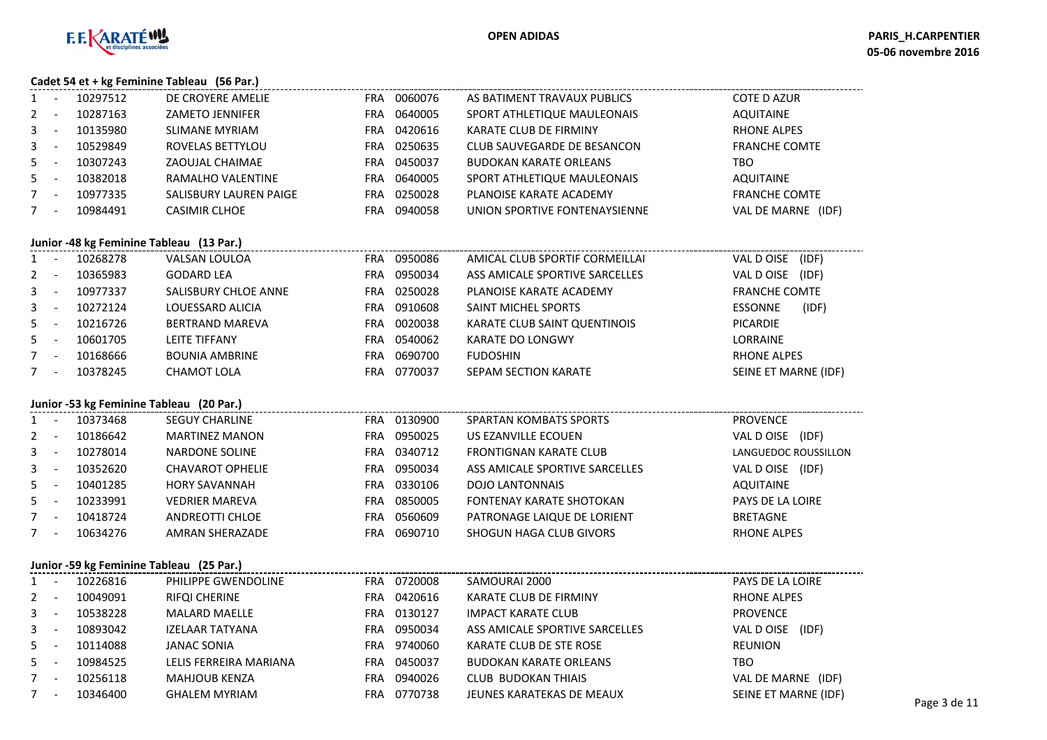

#### **Cadet 54 et + kg Feminine Tableau (56 Par.)**

| $\mathbf{1}$ | 10297512                                 | DE CROYERE AMELIE      | FRA.       | 0060076 | AS BATIMENT TRAVAUX PUBLICS    | <b>COTE D AZUR</b>           |
|--------------|------------------------------------------|------------------------|------------|---------|--------------------------------|------------------------------|
| 2            | 10287163                                 | <b>ZAMETO JENNIFER</b> | FRA.       | 0640005 | SPORT ATHLETIQUE MAULEONAIS    | <b>AQUITAINE</b>             |
| 3            | 10135980                                 | SLIMANE MYRIAM         | FRA.       | 0420616 | KARATE CLUB DE FIRMINY         | RHONE ALPES                  |
| 3            | 10529849                                 | ROVELAS BETTYLOU       | <b>FRA</b> | 0250635 | CLUB SAUVEGARDE DE BESANCON    | <b>FRANCHE COMTE</b>         |
| 5.           | 10307243                                 | ZAOUJAL CHAIMAE        | FRA.       | 0450037 | <b>BUDOKAN KARATE ORLEANS</b>  | TBO                          |
| 5            | 10382018                                 | RAMALHO VALENTINE      | <b>FRA</b> | 0640005 | SPORT ATHLETIQUE MAULEONAIS    | AQUITAINE                    |
|              | 10977335                                 | SALISBURY LAUREN PAIGE | FRA.       | 0250028 | PLANOISE KARATE ACADEMY        | <b>FRANCHE COMTE</b>         |
|              | 10984491                                 | <b>CASIMIR CLHOE</b>   | <b>FRA</b> | 0940058 | UNION SPORTIVE FONTENAYSIENNE  | <b>VAL DE MARNE</b><br>(IDF) |
|              | Junior -48 kg Feminine Tableau (13 Par.) |                        |            |         |                                |                              |
| $\mathbf{1}$ | 10268278                                 | VALSAN LOULOA          | FRA.       | 0950086 | AMICAL CLUB SPORTIF CORMEILLAI | VAL DOISE<br>(IDF)           |
| $2^{\circ}$  | 10365983                                 | <b>GODARD LEA</b>      | <b>FRA</b> | 0950034 | ASS AMICALE SPORTIVE SARCELLES | VAL D OISE<br>(IDF)          |
| 3            | 10977337                                 | SALISBURY CHLOE ANNE   | FRA        | 0250028 | PLANOISE KARATE ACADEMY        | <b>FRANCHE COMTE</b>         |
|              |                                          |                        |            |         |                                |                              |

|       |                          | 10 <i>311331</i> | JALIJDUNI CHLUL ANNIL |     | <b>ULJUULU</b> | LANGUL MUATE ACAPEMII        |                      |  |
|-------|--------------------------|------------------|-----------------------|-----|----------------|------------------------------|----------------------|--|
| $3 -$ |                          | 10272124         | LOUESSARD ALICIA      | FRA | 0910608        | <b>SAINT MICHEL SPORTS</b>   | (IDF)<br>ESSONNE     |  |
| $5 -$ |                          | 10216726         | BERTRAND MAREVA       | FRA | 0020038        | KARATE CLUB SAINT QUENTINOIS | PICARDIE             |  |
| $5 -$ |                          | 10601705         | LEITE TIFFANY         | FRA | 0540062        | KARATE DO LONGWY             | LORRAINE             |  |
|       | $\overline{\phantom{a}}$ | 10168666         | <b>BOUNIA AMBRINE</b> | FRA | 0690700        | <b>FUDOSHIN</b>              | RHONE ALPES          |  |
|       | $\overline{\phantom{0}}$ | 10378245         | CHAMOT LOLA           | FRA | 0770037        | SEPAM SECTION KARATE         | SEINE ET MARNE (IDF) |  |

## **Junior -53 kg Feminine Tableau (20 Par.)**

|         | JUINOI -33 Kg Ferriming Tableau (20 Far.) |          |                       |            |         |                                 |                      |  |  |  |  |  |
|---------|-------------------------------------------|----------|-----------------------|------------|---------|---------------------------------|----------------------|--|--|--|--|--|
| $1 -$   |                                           | 10373468 | <b>SEGUY CHARLINE</b> | <b>FRA</b> | 0130900 | <b>SPARTAN KOMBATS SPORTS</b>   | <b>PROVENCE</b>      |  |  |  |  |  |
| $2 -$   |                                           | 10186642 | <b>MARTINEZ MANON</b> | FRA        | 0950025 | US EZANVILLE ECOUEN             | (IDF)<br>VAL D OISE  |  |  |  |  |  |
| $3 - -$ |                                           | 10278014 | NARDONE SOLINE        | FRA        | 0340712 | <b>FRONTIGNAN KARATE CLUB</b>   | LANGUEDOC ROUSSILLON |  |  |  |  |  |
| $3 - -$ |                                           | 10352620 | CHAVAROT OPHELIE      | FRA        | 0950034 | ASS AMICALE SPORTIVE SARCELLES  | VAL D OISE (IDF)     |  |  |  |  |  |
| $5 -$   |                                           | 10401285 | <b>HORY SAVANNAH</b>  | FRA        | 0330106 | <b>DOJO LANTONNAIS</b>          | AQUITAINE            |  |  |  |  |  |
| $5 -$   |                                           | 10233991 | <b>VEDRIER MAREVA</b> | FRA        | 0850005 | <b>FONTENAY KARATE SHOTOKAN</b> | PAYS DE LA LOIRE     |  |  |  |  |  |
| $7 -$   |                                           | 10418724 | ANDREOTTI CHLOE       | FRA        | 0560609 | PATRONAGE LAIQUE DE LORIENT     | <b>BRETAGNE</b>      |  |  |  |  |  |
| $7 -$   |                                           | 10634276 | AMRAN SHERAZADE       | FRA        | 0690710 | SHOGUN HAGA CLUB GIVORS         | <b>RHONE ALPES</b>   |  |  |  |  |  |
|         |                                           |          |                       |            |         |                                 |                      |  |  |  |  |  |

#### **Junior -59 kg Feminine Tableau (25 Par.)**

|         | 10226816 | PHILIPPE GWENDOLINE    | FRA        | 0720008 | SAMOURAI 2000                  | PAYS DE LA LOIRE     |              |
|---------|----------|------------------------|------------|---------|--------------------------------|----------------------|--------------|
| $2 -$   | 10049091 | RIFQI CHERINE          | <b>FRA</b> | 0420616 | KARATE CLUB DE FIRMINY         | RHONE ALPES          |              |
| $3 -$   | 10538228 | <b>MALARD MAELLE</b>   | FRA        | 0130127 | <b>IMPACT KARATE CLUB</b>      | <b>PROVENCE</b>      |              |
| $3 - 1$ | 10893042 | IZELAAR TATYANA        | <b>FRA</b> | 0950034 | ASS AMICALE SPORTIVE SARCELLES | VAL D OISE<br>(IDF)  |              |
| $5 -$   | 10114088 | JANAC SONIA            | FRA        | 9740060 | KARATE CLUB DE STE ROSE        | REUNION              |              |
| $5 -$   | 10984525 | LELIS FERREIRA MARIANA | FRA        | 0450037 | <b>BUDOKAN KARATE ORLEANS</b>  | TBO                  |              |
|         | 10256118 | <b>MAHJOUB KENZA</b>   | FRA        | 0940026 | CLUB BUDOKAN THIAIS            | VAL DE MARNE (IDF)   |              |
|         | 10346400 | <b>GHALEM MYRIAM</b>   | FRA        | 0770738 | JEUNES KARATEKAS DE MEAUX      | SEINE ET MARNE (IDF) | Page 3 de 11 |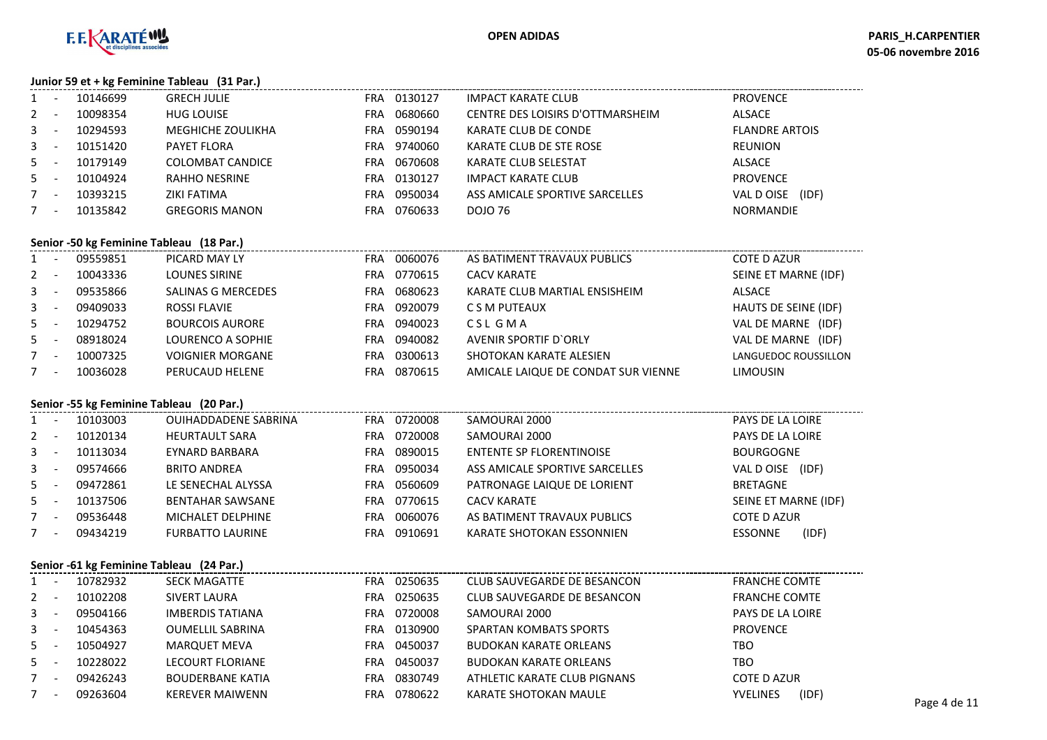

**Junior 59 et + kg Feminine Tableau (31 Par.)**

|             | $3411101$ 33 Ct · $N_{\rm B}$ communic radical (32 marry |          |                          |     |         |                                  |                       |  |  |  |  |
|-------------|----------------------------------------------------------|----------|--------------------------|-----|---------|----------------------------------|-----------------------|--|--|--|--|
|             |                                                          | 10146699 | <b>GRECH JULIE</b>       | FRA | 0130127 | <b>IMPACT KARATE CLUB</b>        | <b>PROVENCE</b>       |  |  |  |  |
| $2^{\circ}$ |                                                          | 10098354 | <b>HUG LOUISE</b>        | FRA | 0680660 | CENTRE DES LOISIRS D'OTTMARSHEIM | ALSACE                |  |  |  |  |
| 3           |                                                          | 10294593 | <b>MEGHICHE ZOULIKHA</b> | FRA | 0590194 | KARATE CLUB DE CONDE             | <b>FLANDRE ARTOIS</b> |  |  |  |  |
| 3           |                                                          | 10151420 | PAYET FLORA              | FRA | 9740060 | KARATE CLUB DE STE ROSE          | REUNION               |  |  |  |  |
| $5 -$       |                                                          | 10179149 | COLOMBAT CANDICE         | FRA | 0670608 | KARATE CLUB SELESTAT             | ALSACE                |  |  |  |  |
| 5           |                                                          | 10104924 | RAHHO NESRINE            | FRA | 0130127 | <b>IMPACT KARATE CLUB</b>        | <b>PROVENCE</b>       |  |  |  |  |
| $7^{\circ}$ |                                                          | 10393215 | ZIKI FATIMA              | FRA | 0950034 | ASS AMICALE SPORTIVE SARCELLES   | (IDF)<br>VAL DOISE    |  |  |  |  |
|             |                                                          | 10135842 | <b>GREGORIS MANON</b>    | FRA | 0760633 | DOJO 76                          | <b>NORMANDIE</b>      |  |  |  |  |
|             |                                                          |          |                          |     |         |                                  |                       |  |  |  |  |

#### **Senior -50 kg Feminine Tableau (18 Par.)**

|         | Jenior - Jo kg i emimile Tableau (10 Fail) |          |                           |            |         |                                     |                      |  |  |  |  |
|---------|--------------------------------------------|----------|---------------------------|------------|---------|-------------------------------------|----------------------|--|--|--|--|
| $1 -$   |                                            | 09559851 | PICARD MAY LY             | <b>FRA</b> | 0060076 | AS BATIMENT TRAVAUX PUBLICS         | <b>COTE D AZUR</b>   |  |  |  |  |
| $2 -$   |                                            | 10043336 | LOUNES SIRINE             | FRA        | 0770615 | <b>CACV KARATE</b>                  | SEINE ET MARNE (IDF) |  |  |  |  |
| $3 - 5$ |                                            | 09535866 | <b>SALINAS G MERCEDES</b> | FRA        | 0680623 | KARATE CLUB MARTIAL ENSISHEIM       | ALSACE               |  |  |  |  |
| $3 -$   |                                            | 09409033 | ROSSI FLAVIE              | FRA        | 0920079 | C S M PUTEAUX                       | HAUTS DE SEINE (IDF) |  |  |  |  |
| $5 -$   |                                            | 10294752 | <b>BOURCOIS AURORE</b>    | FRA        | 0940023 | CSL GMA                             | VAL DE MARNE (IDF)   |  |  |  |  |
| $5 -$   |                                            | 08918024 | LOURENCO A SOPHIE         | FRA        | 0940082 | AVENIR SPORTIF D'ORLY               | VAL DE MARNE (IDF)   |  |  |  |  |
| $7 -$   |                                            | 10007325 | <b>VOIGNIER MORGANE</b>   | FRA        | 0300613 | SHOTOKAN KARATE ALESIEN             | LANGUEDOC ROUSSILLON |  |  |  |  |
| $7 -$   |                                            | 10036028 | PERUCAUD HELENE           | FRA        | 0870615 | AMICALE LAIQUE DE CONDAT SUR VIENNE | <b>LIMOUSIN</b>      |  |  |  |  |
|         |                                            |          |                           |            |         |                                     |                      |  |  |  |  |

### **Senior -55 kg Feminine Tableau (20 Par.)**

| $1 \quad$ |                          | 10103003 | <b>OUIHADDADENE SABRINA</b> | FRA | 0720008 | SAMOURAI 2000                   | PAYS DE LA LOIRE        |
|-----------|--------------------------|----------|-----------------------------|-----|---------|---------------------------------|-------------------------|
| $2 -$     |                          | 10120134 | <b>HEURTAULT SARA</b>       | FRA | 0720008 | SAMOURAI 2000                   | PAYS DE LA LOIRE        |
| $3 - -$   |                          | 10113034 | EYNARD BARBARA              | FRA | 0890015 | <b>ENTENTE SP FLORENTINOISE</b> | <b>BOURGOGNE</b>        |
| $3 - -$   |                          | 09574666 | <b>BRITO ANDREA</b>         | FRA | 0950034 | ASS AMICALE SPORTIVE SARCELLES  | (IDF)<br>VAL D OISE     |
| $5 -$     |                          | 09472861 | LE SENECHAL ALYSSA          | FRA | 0560609 | PATRONAGE LAIQUE DE LORIENT     | <b>BRETAGNE</b>         |
| $5 -$     |                          | 10137506 | <b>BENTAHAR SAWSANE</b>     | FRA | 0770615 | <b>CACV KARATE</b>              | SEINE ET MARNE (IDF)    |
|           | $\overline{\phantom{0}}$ | 09536448 | MICHALET DELPHINE           | FRA | 0060076 | AS BATIMENT TRAVAUX PUBLICS     | <b>COTE D AZUR</b>      |
|           | $\overline{\phantom{0}}$ | 09434219 | <b>FURBATTO LAURINE</b>     | FRA | 0910691 | KARATE SHOTOKAN ESSONNIEN       | (IDF)<br><b>ESSONNE</b> |

#### **Senior -61 kg Feminine Tableau (24 Par.)**

|       | Senior -61 kg Feminine Tableau (24 Par.) |                         |                |                               |                          |              |  |  |  |  |  |  |  |  |
|-------|------------------------------------------|-------------------------|----------------|-------------------------------|--------------------------|--------------|--|--|--|--|--|--|--|--|
|       | 10782932                                 | <b>SECK MAGATTE</b>     | 0250635<br>FRA | CLUB SAUVEGARDE DE BESANCON   | <b>FRANCHE COMTE</b>     |              |  |  |  |  |  |  |  |  |
| $2 -$ | 10102208                                 | SIVERT LAURA            | 0250635<br>FRA | CLUB SAUVEGARDE DE BESANCON   | <b>FRANCHE COMTE</b>     |              |  |  |  |  |  |  |  |  |
| $3 -$ | 09504166                                 | IMBERDIS TATIANA        | FRA 0720008    | SAMOURAI 2000                 | PAYS DE LA LOIRE         |              |  |  |  |  |  |  |  |  |
| $3 -$ | 10454363                                 | <b>OUMELLIL SABRINA</b> | 0130900<br>FRA | <b>SPARTAN KOMBATS SPORTS</b> | <b>PROVENCE</b>          |              |  |  |  |  |  |  |  |  |
| $5 -$ | 10504927                                 | <b>MARQUET MEVA</b>     | 0450037<br>FRA | <b>BUDOKAN KARATE ORLEANS</b> | TBO                      |              |  |  |  |  |  |  |  |  |
| $5 -$ | 10228022                                 | LECOURT FLORIANE        | 0450037<br>FRA | <b>BUDOKAN KARATE ORLEANS</b> | TBO                      |              |  |  |  |  |  |  |  |  |
|       | 09426243                                 | <b>BOUDERBANE KATIA</b> | 0830749<br>FRA | ATHLETIC KARATE CLUB PIGNANS  | <b>COTE D AZUR</b>       |              |  |  |  |  |  |  |  |  |
|       | 09263604                                 | <b>KEREVER MAIWENN</b>  | 0780622<br>FRA | KARATE SHOTOKAN MAULE         | (IDF)<br><b>YVELINES</b> | Page 4 de 11 |  |  |  |  |  |  |  |  |
|       |                                          |                         |                |                               |                          |              |  |  |  |  |  |  |  |  |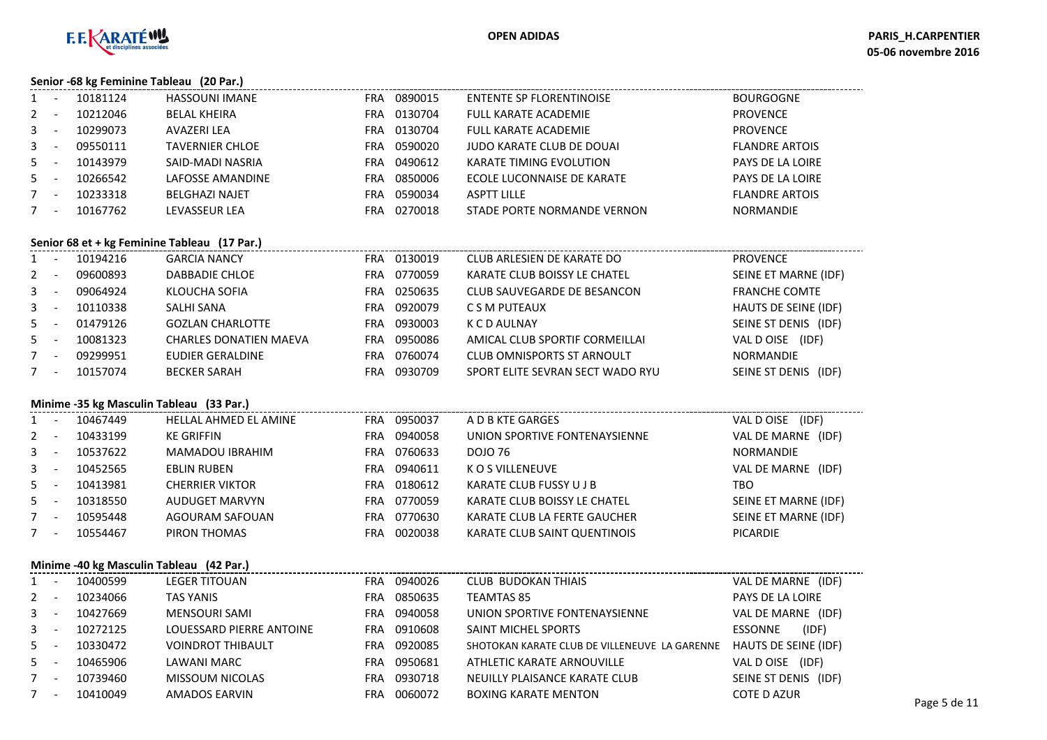

#### **Senior -68 kg Feminine Tableau (20 Par.)**

|              | $55.1101$ complements represented the restriction |                       |     |         |                                 |                       |
|--------------|---------------------------------------------------|-----------------------|-----|---------|---------------------------------|-----------------------|
| $\mathbf{1}$ | 10181124                                          | <b>HASSOUNI IMANE</b> | FRA | 0890015 | <b>ENTENTE SP FLORENTINOISE</b> | <b>BOURGOGNE</b>      |
| 2            | 10212046                                          | <b>BELAL KHEIRA</b>   | FRA | 0130704 | <b>FULL KARATE ACADEMIE</b>     | <b>PROVENCE</b>       |
| $\mathbf{3}$ | 10299073                                          | AVAZERI LEA           | FRA | 0130704 | FULL KARATE ACADEMIE            | <b>PROVENCE</b>       |
| $\mathbf{3}$ | 09550111                                          | TAVERNIER CHLOE       | FRA | 0590020 | JUDO KARATE CLUB DE DOUAI       | <b>FLANDRE ARTOIS</b> |
| 5            | 10143979                                          | SAID-MADI NASRIA      | FRA | 0490612 | KARATE TIMING EVOLUTION         | PAYS DE LA LOIRE      |
| 5            | 10266542                                          | LAFOSSE AMANDINE      | FRA | 0850006 | ECOLE LUCONNAISE DE KARATE      | PAYS DE LA LOIRE      |
| $7^{\circ}$  | 10233318                                          | <b>BELGHAZI NAJET</b> | FRA | 0590034 | <b>ASPTT LILLE</b>              | <b>FLANDRE ARTOIS</b> |
| 7            | 10167762                                          | <b>LEVASSEUR LEA</b>  | FRA | 0270018 | STADE PORTE NORMANDE VERNON     | <b>NORMANDIE</b>      |
|              |                                                   |                       |     |         |                                 |                       |

#### **Senior 68 et + kg Feminine Tableau (17 Par.)**

| $1 -$   | 10194216 | <b>GARCIA NANCY</b>           | FRA | 0130019 | CLUB ARLESIEN DE KARATE DO        | <b>PROVENCE</b>      |
|---------|----------|-------------------------------|-----|---------|-----------------------------------|----------------------|
| $2 -$   | 09600893 | DABBADIE CHLOE                | FRA | 0770059 | KARATE CLUB BOISSY LE CHATEL      | SEINE ET MARNE (IDF) |
| $3 -$   | 09064924 | KLOUCHA SOFIA                 | FRA | 0250635 | CLUB SAUVEGARDE DE BESANCON       | <b>FRANCHE COMTE</b> |
| $3 - 5$ | 10110338 | SALHI SANA                    | FRA | 0920079 | C S M PUTEAUX                     | HAUTS DE SEINE (IDF) |
| $5 -$   | 01479126 | <b>GOZLAN CHARLOTTE</b>       | FRA | 0930003 | K C D AULNAY                      | SEINE ST DENIS (IDF) |
| $5 -$   | 10081323 | <b>CHARLES DONATIEN MAEVA</b> | FRA | 0950086 | AMICAL CLUB SPORTIF CORMEILLAI    | VAL D OISE (IDF)     |
| $7 -$   | 09299951 | EUDIER GERALDINE              | FRA | 0760074 | <b>CLUB OMNISPORTS ST ARNOULT</b> | <b>NORMANDIE</b>     |
| $7 -$   | 10157074 | <b>BECKER SARAH</b>           | FRA | 0930709 | SPORT ELITE SEVRAN SECT WADO RYU  | SEINE ST DENIS (IDF) |

### **Minime -35 kg Masculin Tableau (33 Par.)**

|         | $\frac{1}{2}$ ivilimite -33 kg ividscumi Tableau (33 Fai.) |          |                              |            |         |                               |                      |  |  |  |  |  |
|---------|------------------------------------------------------------|----------|------------------------------|------------|---------|-------------------------------|----------------------|--|--|--|--|--|
| $1 -$   |                                                            | 10467449 | <b>HELLAL AHMED EL AMINE</b> | <b>FRA</b> | 0950037 | A D B KTE GARGES              | VAL D OISE (IDF)     |  |  |  |  |  |
| $2 -$   |                                                            | 10433199 | <b>KE GRIFFIN</b>            | FRA        | 0940058 | UNION SPORTIVE FONTENAYSIENNE | VAL DE MARNE (IDF)   |  |  |  |  |  |
| $3 - -$ |                                                            | 10537622 | MAMADOU IBRAHIM              | FRA        | 0760633 | DOJO 76                       | <b>NORMANDIE</b>     |  |  |  |  |  |
| $3 - -$ |                                                            | 10452565 | EBLIN RUBEN                  | <b>FRA</b> | 0940611 | K O S VILLENEUVE              | VAL DE MARNE (IDF)   |  |  |  |  |  |
| $5 -$   |                                                            | 10413981 | CHERRIER VIKTOR              | FRA        | 0180612 | KARATE CLUB FUSSY U J B       | TBO                  |  |  |  |  |  |
| $5 -$   |                                                            | 10318550 | AUDUGET MARVYN               | FRA        | 0770059 | KARATE CLUB BOISSY LE CHATEL  | SEINE ET MARNE (IDF) |  |  |  |  |  |
| $7 -$   |                                                            | 10595448 | AGOURAM SAFOUAN              | FRA        | 0770630 | KARATE CLUB LA FERTE GAUCHER  | SEINE ET MARNE (IDF) |  |  |  |  |  |
| $7 -$   |                                                            | 10554467 | PIRON THOMAS                 | FRA        | 0020038 | KARATE CLUB SAINT QUENTINOIS  | <b>PICARDIE</b>      |  |  |  |  |  |
|         |                                                            |          |                              |            |         |                               |                      |  |  |  |  |  |

#### **Minime -40 kg Masculin Tableau (42 Par.)**

|       |       |          | $\frac{1}{2}$ ivinimite $-40$ Kg ividscumi Tableau (42 Fai.) |            |             |                                               |                             |              |
|-------|-------|----------|--------------------------------------------------------------|------------|-------------|-----------------------------------------------|-----------------------------|--------------|
| $1 -$ |       | 10400599 | <b>LEGER TITOUAN</b>                                         | <b>FRA</b> | 0940026     | CLUB BUDOKAN THIAIS                           | VAL DE MARNE (IDF)          |              |
| $2 -$ |       | 10234066 | <b>TAS YANIS</b>                                             | FRA.       | 0850635     | <b>TEAMTAS 85</b>                             | <b>PAYS DE LA LOIRE</b>     |              |
| $3 -$ |       | 10427669 | <b>MENSOURI SAMI</b>                                         |            | FRA 0940058 | UNION SPORTIVE FONTENAYSIENNE                 | VAL DE MARNE (IDF)          |              |
| $3 -$ |       | 10272125 | LOUESSARD PIERRE ANTOINE                                     |            | FRA 0910608 | SAINT MICHEL SPORTS                           | (IDF)<br>ESSONNE            |              |
| $5 -$ |       | 10330472 | <b>VOINDROT THIBAULT</b>                                     |            | FRA 0920085 | SHOTOKAN KARATE CLUB DE VILLENEUVE LA GARENNE | <b>HAUTS DE SEINE (IDF)</b> |              |
| $5 -$ |       | 10465906 | LAWANI MARC                                                  | FRA.       | 0950681     | ATHLETIC KARATE ARNOUVILLE                    | VAL D OISE<br>(IDF)         |              |
| $7 -$ |       | 10739460 | MISSOUM NICOLAS                                              |            | FRA 0930718 | NEUILLY PLAISANCE KARATE CLUB                 | SEINE ST DENIS (IDF)        |              |
|       | $7 -$ | 10410049 | <b>AMADOS EARVIN</b>                                         | FRA.       | 0060072     | <b>BOXING KARATE MENTON</b>                   | <b>COTE D AZUR</b>          | Page 5 de 11 |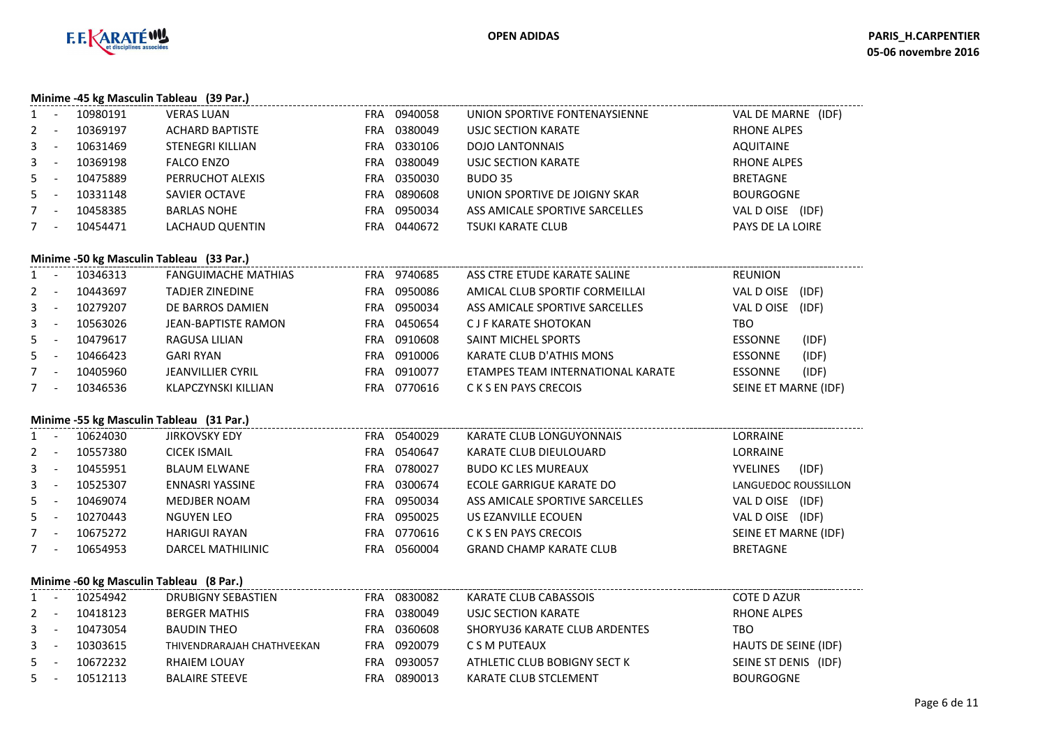

### **Minime -45 kg Masculin Tableau (39 Par.)**

|              |                          | 10980191 | <b>VERAS LUAN</b>      | FRA | 0940058 | UNION SPORTIVE FONTENAYSIENNE  | VAL DE MARNE (IDF)  |
|--------------|--------------------------|----------|------------------------|-----|---------|--------------------------------|---------------------|
| $\mathbf{2}$ |                          | 10369197 | <b>ACHARD BAPTISTE</b> | FRA | 0380049 | USJC SECTION KARATE            | <b>RHONE ALPES</b>  |
| $3 -$        |                          | 10631469 | STENEGRI KILLIAN       | FRA | 0330106 | <b>DOJO LANTONNAIS</b>         | <b>AQUITAINE</b>    |
| $\mathbf{3}$ | . .                      | 10369198 | <b>FALCO ENZO</b>      | FRA | 0380049 | USJC SECTION KARATE            | <b>RHONE ALPES</b>  |
| 5            |                          | 10475889 | PERRUCHOT ALEXIS       | FRA | 0350030 | BUDO 35                        | <b>BRETAGNE</b>     |
| $5 -$        |                          | 10331148 | <b>SAVIER OCTAVE</b>   | FRA | 0890608 | UNION SPORTIVE DE JOIGNY SKAR  | <b>BOURGOGNE</b>    |
|              | -                        | 10458385 | <b>BARLAS NOHE</b>     | FRA | 0950034 | ASS AMICALE SPORTIVE SARCELLES | (IDF)<br>VAL D OISE |
|              | $\overline{\phantom{a}}$ | 10454471 | <b>LACHAUD QUENTIN</b> | FRA | 0440672 | <b>TSUKI KARATE CLUB</b>       | PAYS DE LA LOIRE    |
|              |                          |          |                        |     |         |                                |                     |

### **Minime -50 kg Masculin Tableau (33 Par.)**

|              |     | 10346313 | <b>FANGUIMACHE MATHIAS</b> | <b>FRA</b> | 9740685 | ASS CTRE ETUDE KARATE SALINE      | <b>REUNION</b>       |       |
|--------------|-----|----------|----------------------------|------------|---------|-----------------------------------|----------------------|-------|
| $2^{\circ}$  |     | 10443697 | TADJER ZINEDINE            | FRA        | 0950086 | AMICAL CLUB SPORTIF CORMEILLAI    | VAL DOISE            | (IDF) |
| $\mathbf{3}$ |     | 10279207 | DE BARROS DAMIEN           | FRA        | 0950034 | ASS AMICALE SPORTIVE SARCELLES    | VAL DOISE            | (IDF) |
| 3            | . . | 10563026 | JEAN-BAPTISTE RAMON        | FRA        | 0450654 | C J F KARATE SHOTOKAN             | TBO                  |       |
| 5            |     | 10479617 | RAGUSA LILIAN              | FRA        | 0910608 | SAINT MICHEL SPORTS               | <b>ESSONNE</b>       | (IDF) |
| 5            |     | 10466423 | <b>GARI RYAN</b>           | FRA        | 0910006 | <b>KARATE CLUB D'ATHIS MONS</b>   | <b>ESSONNE</b>       | (IDF) |
|              | -   | 10405960 | <b>JEANVILLIER CYRIL</b>   | FRA        | 0910077 | ETAMPES TEAM INTERNATIONAL KARATE | <b>ESSONNE</b>       | (IDF) |
|              |     | 10346536 | KLAPCZYNSKI KILLIAN        | FRA        | 0770616 | C K S EN PAYS CRECOIS             | SEINE ET MARNE (IDF) |       |

#### **Minime -55 kg Masculin Tableau (31 Par.)**

| 0540647<br><b>LORRAINE</b><br><b>CICEK ISMAIL</b><br>KARATE CLUB DIEULOUARD<br>10557380<br>2<br>FRA<br>0780027<br><b>BLAUM ELWANE</b><br><b>YVELINES</b><br>3<br>10455951<br><b>BUDO KC LES MUREAUX</b><br>FRA<br>$\overline{\phantom{a}}$<br>0300674<br>3<br>10525307<br>ENNASRI YASSINE<br>ECOLE GARRIGUE KARATE DO<br>FRA<br>LANGUEDOC ROUSSILLON<br>$\overline{\phantom{a}}$<br>0950034<br>ASS AMICALE SPORTIVE SARCELLES<br>VAL D OISE<br>10469074<br>MEDJBER NOAM<br>$5 -$<br><b>FRA</b><br>0950025<br>VAL DOISE<br>$5 -$<br>10270443<br>NGUYEN LEO<br>US EZANVILLE ECOUEN<br>FRA |       |
|-----------------------------------------------------------------------------------------------------------------------------------------------------------------------------------------------------------------------------------------------------------------------------------------------------------------------------------------------------------------------------------------------------------------------------------------------------------------------------------------------------------------------------------------------------------------------------------------|-------|
|                                                                                                                                                                                                                                                                                                                                                                                                                                                                                                                                                                                         |       |
|                                                                                                                                                                                                                                                                                                                                                                                                                                                                                                                                                                                         | (IDF) |
|                                                                                                                                                                                                                                                                                                                                                                                                                                                                                                                                                                                         |       |
|                                                                                                                                                                                                                                                                                                                                                                                                                                                                                                                                                                                         | (IDF) |
|                                                                                                                                                                                                                                                                                                                                                                                                                                                                                                                                                                                         | (IDF) |
| SEINE ET MARNE (IDF)<br>0770616<br>10675272<br><b>HARIGUI RAYAN</b><br>C K S EN PAYS CRECOIS<br>FRA<br>$\overline{\phantom{a}}$                                                                                                                                                                                                                                                                                                                                                                                                                                                         |       |
| DARCEL MATHILINIC<br>0560004<br><b>BRETAGNE</b><br>10654953<br><b>GRAND CHAMP KARATE CLUB</b><br>7<br>FRA<br>$\overline{\phantom{a}}$                                                                                                                                                                                                                                                                                                                                                                                                                                                   |       |

#### **Minime -60 kg Masculin Tableau (8 Par.)**

| $1 -$   | 10254942 | DRUBIGNY SEBASTIEN         | FRA | 0830082 | KARATE CLUB CABASSOIS         | COTE D AZUR          |
|---------|----------|----------------------------|-----|---------|-------------------------------|----------------------|
| $2 -$   | 10418123 | <b>BERGER MATHIS</b>       | FRA | 0380049 | USJC SECTION KARATE           | RHONE ALPES          |
| $3 - 1$ | 10473054 | BAUDIN THEO                | FRA | 0360608 | SHORYU36 KARATE CLUB ARDENTES | TBO                  |
| $3 - 1$ | 10303615 | THIVENDRARAJAH CHATHVEEKAN | FRA | 0920079 | C S M PUTEAUX                 | HAUTS DE SEINE (IDF) |
| $5 -$   | 10672232 | <b>RHAIEM LOUAY</b>        | FRA | 0930057 | ATHLETIC CLUB BOBIGNY SECT K  | SEINE ST DENIS (IDF) |
| $5 -$   | 10512113 | BALAIRE STEEVE             | FRA | 0890013 | KARATE CLUB STCLEMENT         | <b>BOURGOGNE</b>     |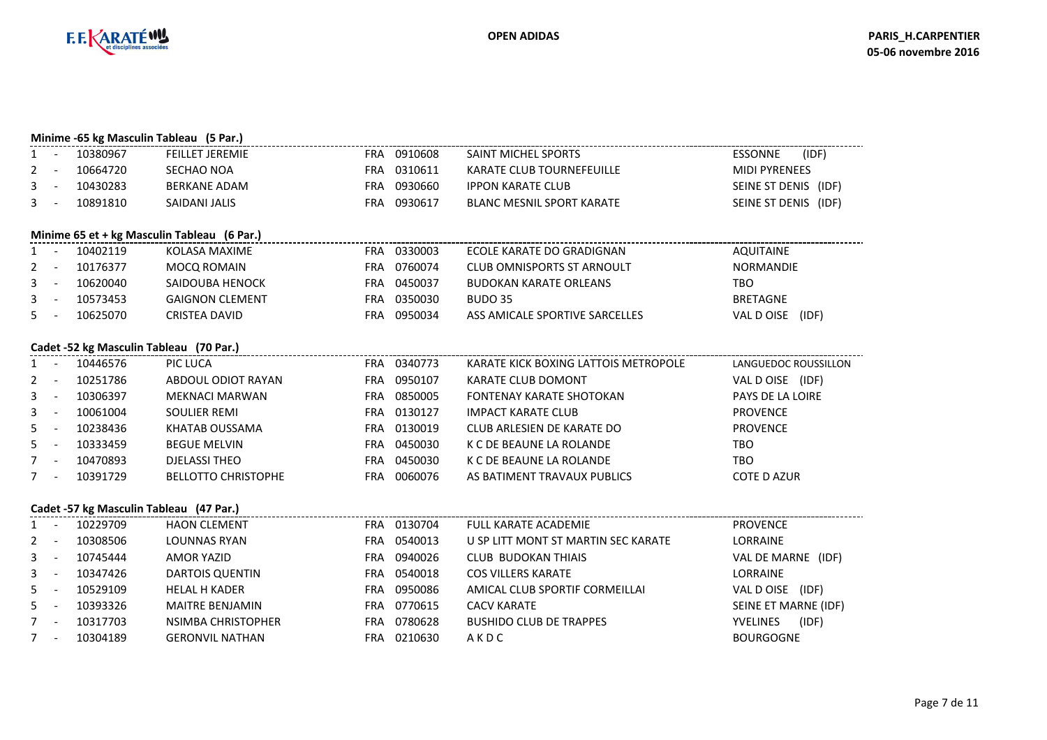

N FRA 0210630 A K D C BOURGOGNE

|              |                                             |          | Minime -65 kg Masculin Tableau (5 Par.) |            |             |                                      |                          |  |  |  |  |  |  |
|--------------|---------------------------------------------|----------|-----------------------------------------|------------|-------------|--------------------------------------|--------------------------|--|--|--|--|--|--|
| 1            | $\sim$                                      | 10380967 | <b>FEILLET JEREMIE</b>                  |            | FRA 0910608 | <b>SAINT MICHEL SPORTS</b>           | <b>ESSONNE</b><br>(IDF)  |  |  |  |  |  |  |
| $2^{\circ}$  | $\sim$                                      | 10664720 | SECHAO NOA                              |            | FRA 0310611 | <b>KARATE CLUB TOURNEFEUILLE</b>     | <b>MIDI PYRENEES</b>     |  |  |  |  |  |  |
| 3            | $\sim$ $-$                                  | 10430283 | <b>BERKANE ADAM</b>                     | <b>FRA</b> | 0930660     | <b>IPPON KARATE CLUB</b>             | SEINE ST DENIS (IDF)     |  |  |  |  |  |  |
| 3            | $\overline{\phantom{a}}$                    | 10891810 | SAIDANI JALIS                           |            | FRA 0930617 | <b>BLANC MESNIL SPORT KARATE</b>     | SEINE ST DENIS (IDF)     |  |  |  |  |  |  |
|              | Minime 65 et + kg Masculin Tableau (6 Par.) |          |                                         |            |             |                                      |                          |  |  |  |  |  |  |
|              |                                             |          |                                         |            |             |                                      |                          |  |  |  |  |  |  |
| 1            | $\overline{\phantom{a}}$                    | 10402119 | KOLASA MAXIME                           |            | FRA 0330003 | ECOLE KARATE DO GRADIGNAN            | <b>AQUITAINE</b>         |  |  |  |  |  |  |
| 2            | $\sim$                                      | 10176377 | <b>MOCQ ROMAIN</b>                      | <b>FRA</b> | 0760074     | <b>CLUB OMNISPORTS ST ARNOULT</b>    | <b>NORMANDIE</b>         |  |  |  |  |  |  |
| 3            | $\overline{\phantom{a}}$                    | 10620040 | SAIDOUBA HENOCK                         |            | FRA 0450037 | <b>BUDOKAN KARATE ORLEANS</b>        | TBO                      |  |  |  |  |  |  |
| 3            | $\overline{\phantom{a}}$                    | 10573453 | <b>GAIGNON CLEMENT</b>                  | <b>FRA</b> | 0350030     | <b>BUDO 35</b>                       | <b>BRETAGNE</b>          |  |  |  |  |  |  |
| 5            |                                             | 10625070 | <b>CRISTEA DAVID</b>                    | <b>FRA</b> | 0950034     | ASS AMICALE SPORTIVE SARCELLES       | VAL D OISE (IDF)         |  |  |  |  |  |  |
|              |                                             |          | Cadet -52 kg Masculin Tableau (70 Par.) |            |             |                                      |                          |  |  |  |  |  |  |
| $\mathbf{1}$ | $\sim$                                      | 10446576 | PIC LUCA                                |            | FRA 0340773 | KARATE KICK BOXING LATTOIS METROPOLE | LANGUEDOC ROUSSILLON     |  |  |  |  |  |  |
| 2            | $\overline{a}$                              | 10251786 | ABDOUL ODIOT RAYAN                      |            | FRA 0950107 | <b>KARATE CLUB DOMONT</b>            | VAL D OISE (IDF)         |  |  |  |  |  |  |
| 3            | $\overline{\phantom{a}}$                    | 10306397 | <b>MEKNACI MARWAN</b>                   | <b>FRA</b> | 0850005     | <b>FONTENAY KARATE SHOTOKAN</b>      | PAYS DE LA LOIRE         |  |  |  |  |  |  |
| 3            | $\sim$                                      | 10061004 | <b>SOULIER REMI</b>                     | FRA        | 0130127     | <b>IMPACT KARATE CLUB</b>            | <b>PROVENCE</b>          |  |  |  |  |  |  |
| 5            | $\overline{\phantom{a}}$                    | 10238436 | KHATAB OUSSAMA                          |            | FRA 0130019 | <b>CLUB ARLESIEN DE KARATE DO</b>    | <b>PROVENCE</b>          |  |  |  |  |  |  |
| 5            | $\sim$                                      | 10333459 | <b>BEGUE MELVIN</b>                     | <b>FRA</b> | 0450030     | K C DE BEAUNE LA ROLANDE             | <b>TBO</b>               |  |  |  |  |  |  |
| 7            | $\sim$ $-$                                  | 10470893 | <b>DJELASSI THEO</b>                    | <b>FRA</b> | 0450030     | K C DE BEAUNE LA ROLANDE             | TBO                      |  |  |  |  |  |  |
| $7^{\circ}$  |                                             | 10391729 | <b>BELLOTTO CHRISTOPHE</b>              | <b>FRA</b> | 0060076     | AS BATIMENT TRAVAUX PUBLICS          | <b>COTE D AZUR</b>       |  |  |  |  |  |  |
|              |                                             |          |                                         |            |             |                                      |                          |  |  |  |  |  |  |
|              |                                             |          | Cadet -57 kg Masculin Tableau (47 Par.) |            |             |                                      |                          |  |  |  |  |  |  |
| $\mathbf{1}$ | $\sim$                                      | 10229709 | <b>HAON CLEMENT</b>                     |            | FRA 0130704 | <b>FULL KARATE ACADEMIE</b>          | <b>PROVENCE</b>          |  |  |  |  |  |  |
| 2            | $\overline{\phantom{a}}$                    | 10308506 | <b>LOUNNAS RYAN</b>                     | <b>FRA</b> | 0540013     | U SP LITT MONT ST MARTIN SEC KARATE  | LORRAINE                 |  |  |  |  |  |  |
| 3            | $\overline{\phantom{a}}$                    | 10745444 | <b>AMOR YAZID</b>                       | <b>FRA</b> | 0940026     | <b>CLUB BUDOKAN THIAIS</b>           | VAL DE MARNE (IDF)       |  |  |  |  |  |  |
| 3            | $\overline{\phantom{a}}$                    | 10347426 | <b>DARTOIS QUENTIN</b>                  | <b>FRA</b> | 0540018     | <b>COS VILLERS KARATE</b>            | <b>LORRAINE</b>          |  |  |  |  |  |  |
| 5            | $\sim$                                      | 10529109 | <b>HELAL H KADER</b>                    | <b>FRA</b> | 0950086     | AMICAL CLUB SPORTIF CORMEILLAI       | VAL D OISE (IDF)         |  |  |  |  |  |  |
| 5            | $\overline{a}$                              | 10393326 | MAITRE BENJAMIN                         |            | FRA 0770615 | <b>CACV KARATE</b>                   | SEINE ET MARNE (IDF)     |  |  |  |  |  |  |
| $7 -$        |                                             | 10317703 | <b>NSIMBA CHRISTOPHER</b>               | <b>FRA</b> | 0780628     | <b>BUSHIDO CLUB DE TRAPPES</b>       | (IDF)<br><b>YVELINES</b> |  |  |  |  |  |  |
| $7^{\circ}$  |                                             | 10304189 | <b>GERONVIL NATHAN</b>                  |            | FRA 0210630 | AKDC                                 | <b>BOURGOGNE</b>         |  |  |  |  |  |  |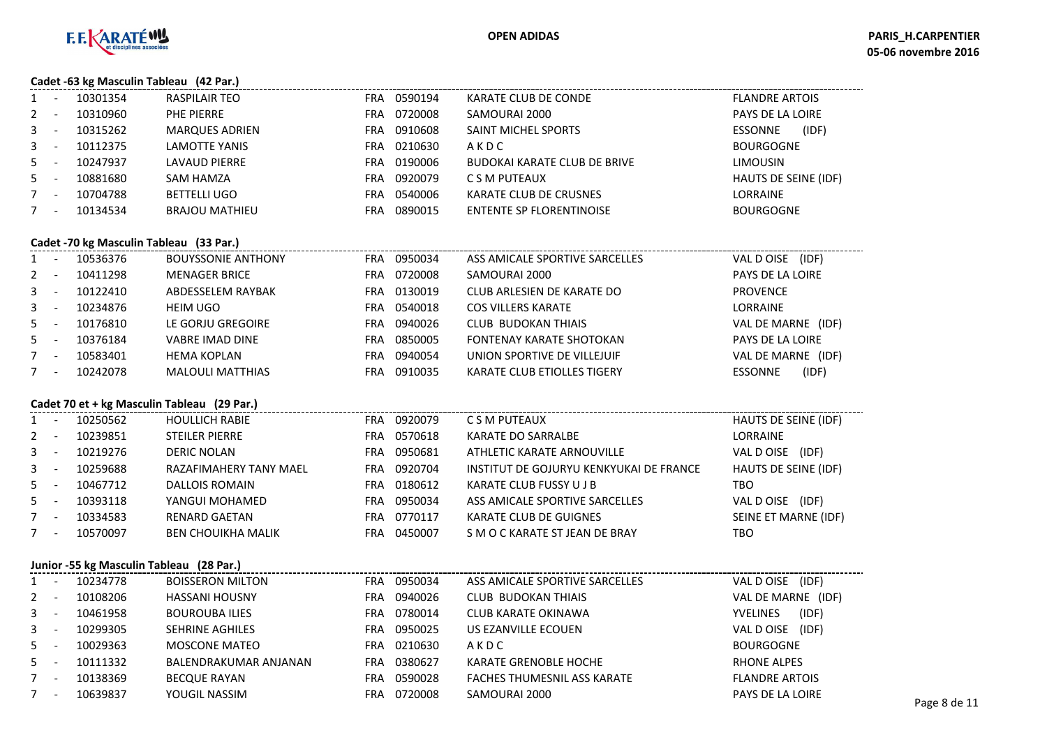

#### **Cadet -63 kg Masculin Tableau (42 Par.)**

|    | $\frac{1}{2}$ |                       |     |         |                              |                         |
|----|---------------|-----------------------|-----|---------|------------------------------|-------------------------|
| 1  | 10301354      | RASPILAIR TEO         | FRA | 0590194 | KARATE CLUB DE CONDE         | <b>FLANDRE ARTOIS</b>   |
| 2  | 10310960      | PHE PIERRE            | FRA | 0720008 | SAMOURAI 2000                | <b>PAYS DE LA LOIRE</b> |
| 3  | 10315262      | <b>MARQUES ADRIEN</b> | FRA | 0910608 | SAINT MICHEL SPORTS          | (IDF)<br><b>ESSONNE</b> |
| 3  | 10112375      | <b>LAMOTTE YANIS</b>  | FRA | 0210630 | AKDC                         | <b>BOURGOGNE</b>        |
| 5. | 10247937      | LAVAUD PIERRE         | FRA | 0190006 | BUDOKAI KARATE CLUB DE BRIVE | <b>LIMOUSIN</b>         |
| 5. | 10881680      | SAM HAMZA             | FRA | 0920079 | C S M PUTEAUX                | HAUTS DE SEINE (IDF)    |
| 7  | 10704788      | <b>BETTELLI UGO</b>   | FRA | 0540006 | KARATE CLUB DE CRUSNES       | <b>LORRAINE</b>         |
|    | 10134534      | <b>BRAJOU MATHIEU</b> | FRA | 0890015 | ENTENTE SP FLORENTINOISE     | <b>BOURGOGNE</b>        |
|    |               |                       |     |         |                              |                         |

#### **Cadet -70 kg Masculin Tableau (33 Par.)**

| $1 -$        |                          | 10536376 | <b>BOUYSSONIE ANTHONY</b> | FRA | 0950034 | ASS AMICALE SPORTIVE SARCELLES     | VAL D OISE (IDF)        |
|--------------|--------------------------|----------|---------------------------|-----|---------|------------------------------------|-------------------------|
| $2 -$        |                          | 10411298 | <b>MENAGER BRICE</b>      | FRA | 0720008 | SAMOURAI 2000                      | <b>PAYS DE LA LOIRE</b> |
| $3^{\circ}$  | $\overline{\phantom{a}}$ | 10122410 | ABDESSELEM RAYBAK         | FRA | 0130019 | CLUB ARLESIEN DE KARATE DO         | <b>PROVENCE</b>         |
| $\mathbf{3}$ | $\overline{\phantom{a}}$ | 10234876 | HEIM UGO                  | FRA | 0540018 | <b>COS VILLERS KARATE</b>          | LORRAINE                |
| $5 -$        |                          | 10176810 | LE GORJU GREGOIRE         | FRA | 0940026 | <b>CLUB BUDOKAN THIAIS</b>         | VAL DE MARNE (IDF)      |
| $5 -$        |                          | 10376184 | <b>VABRE IMAD DINE</b>    | FRA | 0850005 | <b>FONTENAY KARATE SHOTOKAN</b>    | <b>PAYS DE LA LOIRE</b> |
|              | $\overline{\phantom{a}}$ | 10583401 | <b>HEMA KOPLAN</b>        | FRA | 0940054 | UNION SPORTIVE DE VILLEJUIF        | VAL DE MARNE (IDF)      |
|              | $\overline{\phantom{a}}$ | 10242078 | <b>MALOULI MATTHIAS</b>   | FRA | 0910035 | <b>KARATE CLUB ETIOLLES TIGERY</b> | (IDF)<br><b>ESSONNE</b> |

## **Cadet 70 et + kg Masculin Tableau (29 Par.)**

|       | Cadel 70 et + kg Masculin Tableau (29 Par.) |          |                           |            |         |                                         |                             |  |  |  |  |  |
|-------|---------------------------------------------|----------|---------------------------|------------|---------|-----------------------------------------|-----------------------------|--|--|--|--|--|
| $1 -$ |                                             | 10250562 | <b>HOULLICH RABIE</b>     | <b>FRA</b> | 0920079 | C S M PUTEAUX                           | <b>HAUTS DE SEINE (IDF)</b> |  |  |  |  |  |
| $2 -$ |                                             | 10239851 | <b>STEILER PIERRE</b>     | FRA        | 0570618 | <b>KARATE DO SARRALBE</b>               | <b>LORRAINE</b>             |  |  |  |  |  |
| $3 -$ |                                             | 10219276 | DERIC NOLAN               | FRA        | 0950681 | ATHLETIC KARATE ARNOUVILLE              | VAL D OISE (IDF)            |  |  |  |  |  |
| $3 -$ |                                             | 10259688 | RAZAFIMAHERY TANY MAEL    | <b>FRA</b> | 0920704 | INSTITUT DE GOJURYU KENKYUKAI DE FRANCE | HAUTS DE SEINE (IDF)        |  |  |  |  |  |
| $5 -$ |                                             | 10467712 | DALLOIS ROMAIN            | FRA        | 0180612 | KARATE CLUB FUSSY U J B                 | TBO                         |  |  |  |  |  |
| $5 -$ |                                             | 10393118 | YANGUI MOHAMED            | FRA        | 0950034 | ASS AMICALE SPORTIVE SARCELLES          | VAL D OISE (IDF)            |  |  |  |  |  |
| $7 -$ |                                             | 10334583 | <b>RENARD GAETAN</b>      | FRA        | 0770117 | KARATE CLUB DE GUIGNES                  | SEINE ET MARNE (IDF)        |  |  |  |  |  |
| $7 -$ |                                             | 10570097 | <b>BEN CHOUIKHA MALIK</b> | FRA        | 0450007 | S M O C KARATE ST JEAN DE BRAY          | TBO.                        |  |  |  |  |  |
|       |                                             |          |                           |            |         |                                         |                             |  |  |  |  |  |

#### **Junior -55 kg Masculin Tableau (28 Par.)**

|       | $\frac{1}{2}$ $\frac{1}{2}$ $\frac{1}{2}$ $\frac{1}{2}$ $\frac{1}{2}$ $\frac{1}{2}$ $\frac{1}{2}$ $\frac{1}{2}$ $\frac{1}{2}$ $\frac{1}{2}$ $\frac{1}{2}$ $\frac{1}{2}$ $\frac{1}{2}$ $\frac{1}{2}$ $\frac{1}{2}$ $\frac{1}{2}$ $\frac{1}{2}$ $\frac{1}{2}$ $\frac{1}{2}$ $\frac{1}{2}$ $\frac{1}{2}$ $\frac{1}{2}$ |                         |            |         |                                    |                          |              |
|-------|---------------------------------------------------------------------------------------------------------------------------------------------------------------------------------------------------------------------------------------------------------------------------------------------------------------------|-------------------------|------------|---------|------------------------------------|--------------------------|--------------|
|       | 10234778                                                                                                                                                                                                                                                                                                            | <b>BOISSERON MILTON</b> | <b>FRA</b> | 0950034 | ASS AMICALE SPORTIVE SARCELLES     | VAL D OISE<br>(IDF)      |              |
| $2 -$ | 10108206                                                                                                                                                                                                                                                                                                            | <b>HASSANI HOUSNY</b>   | <b>FRA</b> | 0940026 | CLUB BUDOKAN THIAIS                | VAL DE MARNE (IDF)       |              |
| $3 -$ | 10461958                                                                                                                                                                                                                                                                                                            | <b>BOUROUBA ILIES</b>   | FRA.       | 0780014 | <b>CLUB KARATE OKINAWA</b>         | (IDF)<br><b>YVELINES</b> |              |
| $3 -$ | 10299305                                                                                                                                                                                                                                                                                                            | <b>SEHRINE AGHILES</b>  | FRA.       | 0950025 | US EZANVILLE ECOUEN                | VAL D OISE<br>(IDF)      |              |
| $5 -$ | 10029363                                                                                                                                                                                                                                                                                                            | MOSCONE MATEO           | FRA.       | 0210630 | AKDC                               | <b>BOURGOGNE</b>         |              |
| $5 -$ | 10111332                                                                                                                                                                                                                                                                                                            | BALENDRAKUMAR ANJANAN   | FRA.       | 0380627 | KARATE GRENOBLE HOCHE              | RHONE ALPES              |              |
| $7 -$ | 10138369                                                                                                                                                                                                                                                                                                            | <b>BECQUE RAYAN</b>     | FRA.       | 0590028 | <b>FACHES THUMESNIL ASS KARATE</b> | <b>FLANDRE ARTOIS</b>    |              |
|       | 10639837                                                                                                                                                                                                                                                                                                            | YOUGIL NASSIM           | FRA.       | 0720008 | SAMOURAI 2000                      | PAYS DE LA LOIRE         | Page 8 de 11 |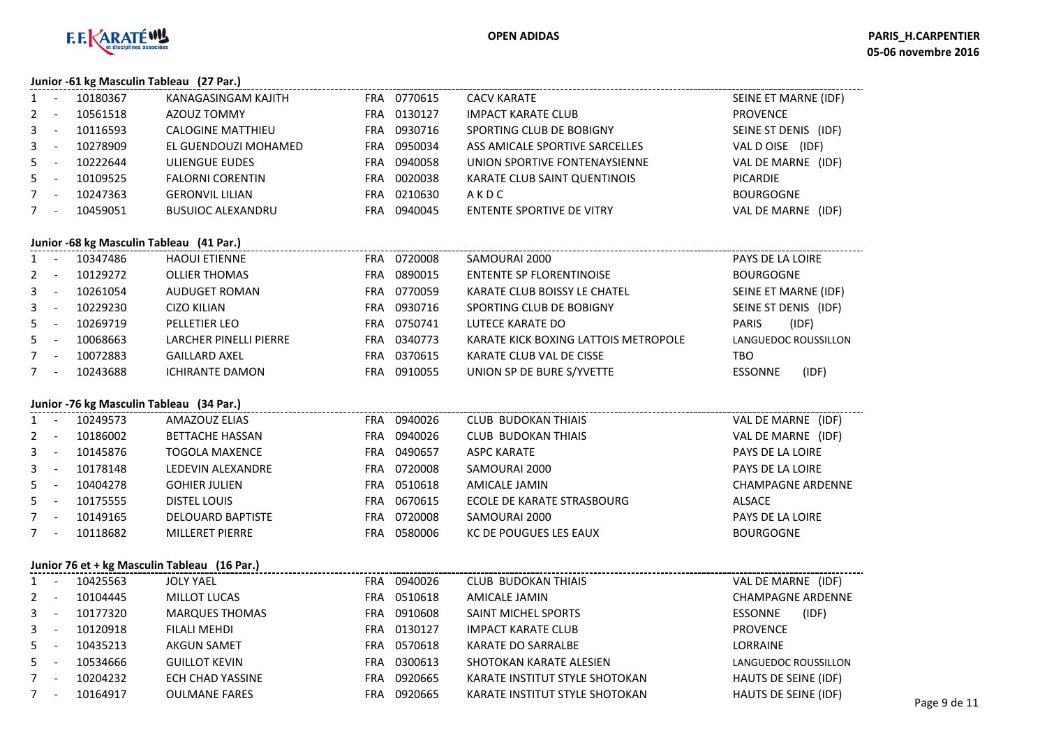

#### **Junior -61 kg Masculin Tableau (27 Par.)**

|              | $341101$ $0412$ |                          |            |         |                                |                              |
|--------------|-----------------|--------------------------|------------|---------|--------------------------------|------------------------------|
| $1 \quad$    | 10180367        | KANAGASINGAM KAJITH      | <b>FRA</b> | 0770615 | <b>CACV KARATE</b>             | SEINE ET MARNE (IDF)         |
| $2^{\circ}$  | 10561518        | AZOUZ TOMMY              | FRA        | 0130127 | <b>IMPACT KARATE CLUB</b>      | <b>PROVENCE</b>              |
| $\mathbf{3}$ | 10116593        | <b>CALOGINE MATTHIEU</b> | FRA        | 0930716 | SPORTING CLUB DE BOBIGNY       | SEINE ST DENIS (IDF)         |
| $3 -$        | 10278909        | EL GUENDOUZI MOHAMED     | FRA        | 0950034 | ASS AMICALE SPORTIVE SARCELLES | (IDF)<br>VAL D OISE          |
| $5 -$        | 10222644        | ULIENGUE EUDES           | FRA        | 0940058 | UNION SPORTIVE FONTENAYSIENNE  | VAL DE MARNE<br>(IDF)        |
| $5 -$        | 10109525        | <b>FALORNI CORENTIN</b>  | FRA        | 0020038 | KARATE CLUB SAINT QUENTINOIS   | <b>PICARDIE</b>              |
| $7^{\circ}$  | 10247363        | <b>GERONVIL LILIAN</b>   | FRA        | 0210630 | AKDC                           | <b>BOURGOGNE</b>             |
|              | 10459051        | <b>BUSUIOC ALEXANDRU</b> | FRA        | 0940045 | ENTENTE SPORTIVE DE VITRY      | <b>VAL DE MARNE</b><br>(IDF) |
|              |                 |                          |            |         |                                |                              |

#### **Junior -68 kg Masculin Tableau (41 Par.)**

| $1 -$   | 10347486 | <b>HAOUI ETIENNE</b>   | FRA | 0720008 | SAMOURAI 2000                        | PAYS DE LA LOIRE |                      |
|---------|----------|------------------------|-----|---------|--------------------------------------|------------------|----------------------|
| $2 -$   | 10129272 | <b>OLLIER THOMAS</b>   | FRA | 0890015 | ENTENTE SP FLORENTINOISE             | <b>BOURGOGNE</b> |                      |
| $3 - -$ | 10261054 | AUDUGET ROMAN          | FRA | 0770059 | KARATE CLUB BOISSY LE CHATEL         |                  | SEINE ET MARNE (IDF) |
| $3 - -$ | 10229230 | CIZO KILIAN            | FRA | 0930716 | SPORTING CLUB DE BOBIGNY             |                  | SEINE ST DENIS (IDF) |
| $5 -$   | 10269719 | PELLETIER LEO          | FRA | 0750741 | LUTECE KARATE DO                     | <b>PARIS</b>     | (IDF)                |
| $5 -$   | 10068663 | LARCHER PINELLI PIERRE | FRA | 0340773 | KARATE KICK BOXING LATTOIS METROPOLE |                  | LANGUEDOC ROUSSILLON |
| $7 -$   | 10072883 | <b>GAILLARD AXEL</b>   | FRA | 0370615 | KARATE CLUB VAL DE CISSE             | TBO              |                      |
| $7 -$   | 10243688 | <b>ICHIRANTE DAMON</b> | FRA | 0910055 | UNION SP DE BURE S/YVETTE            | <b>ESSONNE</b>   | (IDF)                |
|         |          |                        |     |         |                                      |                  |                      |

### **Junior -76 kg Masculin Tableau (34 Par.)**

| $1 -$   | 10249573 | AMAZOUZ ELIAS            | FRA        | 0940026 | <b>CLUB BUDOKAN THIAIS</b> | VAL DE MARNE<br>(IDF)    |
|---------|----------|--------------------------|------------|---------|----------------------------|--------------------------|
| $2 -$   | 10186002 | <b>BETTACHE HASSAN</b>   | FRA        | 0940026 | <b>CLUB BUDOKAN THIAIS</b> | VAL DE MARNE<br>(IDF)    |
| $3 - 1$ | 10145876 | <b>TOGOLA MAXENCE</b>    | <b>FRA</b> | 0490657 | ASPC KARATE                | PAYS DE LA LOIRE         |
| $3 - -$ | 10178148 | LEDEVIN ALEXANDRE        | FRA        | 0720008 | SAMOURAI 2000              | PAYS DE LA LOIRE         |
| $5 -$   | 10404278 | <b>GOHIER JULIEN</b>     | FRA        | 0510618 | AMICALE JAMIN              | <b>CHAMPAGNE ARDENNE</b> |
| $5 -$   | 10175555 | DISTEL LOUIS             | FRA        | 0670615 | ECOLE DE KARATE STRASBOURG | ALSACE                   |
| $7 -$   | 10149165 | <b>DELOUARD BAPTISTE</b> | FRA        | 0720008 | SAMOURAI 2000              | PAYS DE LA LOIRE         |
| $7 -$   | 10118682 | <b>MILLERET PIERRE</b>   | FRA        | 0580006 | KC DE POUGUES LES EAUX     | <b>BOURGOGNE</b>         |
|         |          |                          |            |         |                            |                          |

#### **Junior 76 et + kg Masculin Tableau (16 Par.)**

|              | Juhlor 76 et + kg Masculin Tableau (16 Par.) |          |                       |            |         |                                |                          |  |  |  |  |
|--------------|----------------------------------------------|----------|-----------------------|------------|---------|--------------------------------|--------------------------|--|--|--|--|
|              | $\overline{\phantom{a}}$                     | 10425563 | <b>JOLY YAEL</b>      | <b>FRA</b> | 0940026 | <b>CLUB BUDOKAN THIAIS</b>     | VAL DE MARNE (IDF)       |  |  |  |  |
| 2            | $\overline{\phantom{a}}$                     | 10104445 | MILLOT LUCAS          | <b>FRA</b> | 0510618 | AMICALE JAMIN                  | <b>CHAMPAGNE ARDENNE</b> |  |  |  |  |
| $3 -$        |                                              | 10177320 | <b>MARQUES THOMAS</b> | <b>FRA</b> | 0910608 | SAINT MICHEL SPORTS            | (IDF)<br><b>ESSONNE</b>  |  |  |  |  |
| $\mathbf{3}$ | - -                                          | 10120918 | FILALI MEHDI          | FRA        | 0130127 | IMPACT KARATE CLUB             | <b>PROVENCE</b>          |  |  |  |  |
| $5 -$        |                                              | 10435213 | <b>AKGUN SAMET</b>    | FRA        | 0570618 | KARATE DO SARRALBE             | LORRAINE                 |  |  |  |  |
| $5 -$        |                                              | 10534666 | <b>GUILLOT KEVIN</b>  | FRA        | 0300613 | SHOTOKAN KARATE ALESIEN        | LANGUEDOC ROUSSILLON     |  |  |  |  |
|              | $\overline{\phantom{a}}$                     | 10204232 | ECH CHAD YASSINE      | FRA        | 0920665 | KARATE INSTITUT STYLE SHOTOKAN | HAUTS DE SEINE (IDF)     |  |  |  |  |
| 7            | $\overline{\phantom{a}}$                     | 10164917 | <b>OULMANE FARES</b>  | FRA        | 0920665 | KARATE INSTITUT STYLE SHOTOKAN | HAUTS DE SEINE (IDF)     |  |  |  |  |
|              |                                              |          |                       |            |         |                                |                          |  |  |  |  |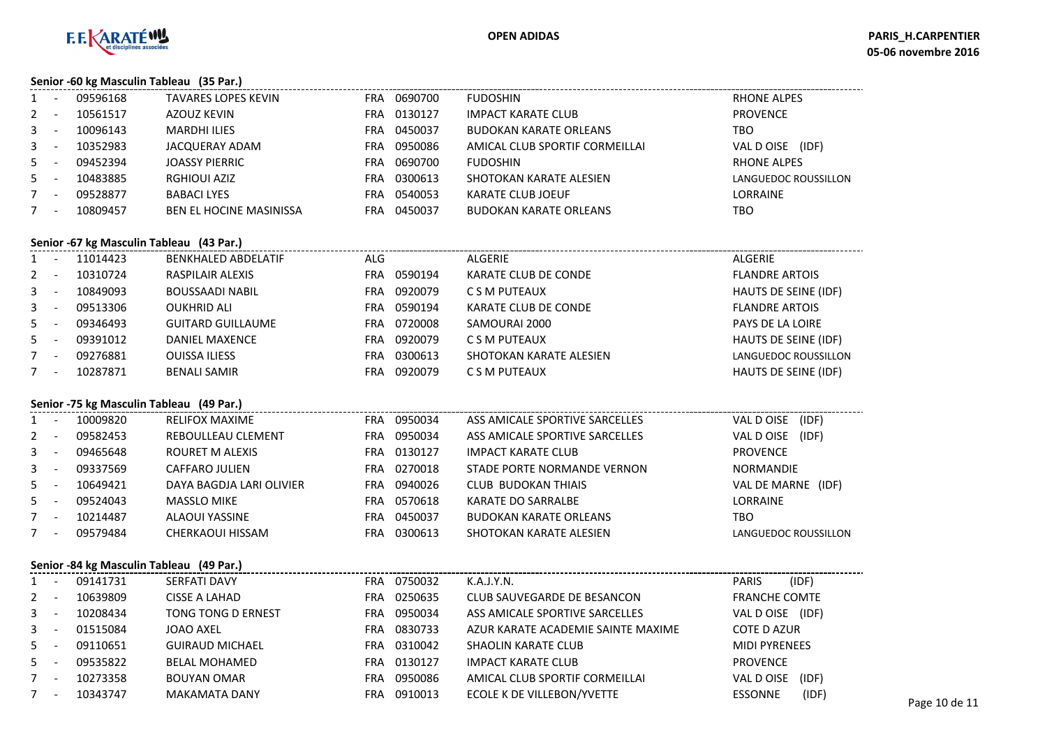

#### **Senior -60 kg Masculin Tableau (35 Par.)**

|              | 09596168 | <b>TAVARES LOPES KEVIN</b>     | FRA | 0690700 | <b>FUDOSHIN</b>                | <b>RHONE ALPES</b>   |
|--------------|----------|--------------------------------|-----|---------|--------------------------------|----------------------|
| $2^{\circ}$  | 10561517 | AZOUZ KEVIN                    | FRA | 0130127 | <b>IMPACT KARATE CLUB</b>      | <b>PROVENCE</b>      |
| $\mathbf{3}$ | 10096143 | <b>MARDHI ILIES</b>            | FRA | 0450037 | <b>BUDOKAN KARATE ORLEANS</b>  | TBO                  |
| $\mathbf{3}$ | 10352983 | JACQUERAY ADAM                 | FRA | 0950086 | AMICAL CLUB SPORTIF CORMEILLAI | (IDF)<br>VAL DOISE   |
| 5            | 09452394 | <b>JOASSY PIERRIC</b>          | FRA | 0690700 | <b>FUDOSHIN</b>                | <b>RHONE ALPES</b>   |
| 5.           | 10483885 | RGHIOUI AZIZ                   | FRA | 0300613 | SHOTOKAN KARATE ALESIEN        | LANGUEDOC ROUSSILLON |
| $7^{\circ}$  | 09528877 | <b>BABACI LYES</b>             | FRA | 0540053 | KARATE CLUB JOEUF              | <b>LORRAINE</b>      |
|              | 10809457 | <b>BEN EL HOCINE MASINISSA</b> | FRA | 0450037 | <b>BUDOKAN KARATE ORLEANS</b>  | TBO                  |

#### **Senior -67 kg Masculin Tableau (43 Par.)**

| $1 \quad$ | $\overline{\phantom{0}}$ | 11014423 | <b>BENKHALED ABDELATIF</b> | ALG |         | <b>ALGERIE</b>          | ALGERIE                 |
|-----------|--------------------------|----------|----------------------------|-----|---------|-------------------------|-------------------------|
| $2 -$     |                          | 10310724 | <b>RASPILAIR ALEXIS</b>    | FRA | 0590194 | KARATE CLUB DE CONDE    | <b>FLANDRE ARTOIS</b>   |
| $3 - -$   |                          | 10849093 | <b>BOUSSAADI NABIL</b>     | FRA | 0920079 | C S M PUTEAUX           | HAUTS DE SEINE (IDF)    |
| $3 - -$   |                          | 09513306 | <b>OUKHRID ALI</b>         | FRA | 0590194 | KARATE CLUB DE CONDE    | <b>FLANDRE ARTOIS</b>   |
| $5 -$     |                          | 09346493 | <b>GUITARD GUILLAUME</b>   | FRA | 0720008 | SAMOURAI 2000           | <b>PAYS DE LA LOIRE</b> |
| $5 -$     |                          | 09391012 | DANIEL MAXENCE             | FRA | 0920079 | C S M PUTEAUX           | HAUTS DE SEINE (IDF)    |
|           | $\overline{\phantom{0}}$ | 09276881 | <b>OUISSA ILIESS</b>       | FRA | 0300613 | SHOTOKAN KARATE ALESIEN | LANGUEDOC ROUSSILLON    |
| 7         | $\overline{\phantom{0}}$ | 10287871 | <b>BENALI SAMIR</b>        | FRA | 0920079 | C S M PUTEAUX           | HAUTS DE SEINE (IDF)    |
|           |                          |          |                            |     |         |                         |                         |

## **Senior -75 kg Masculin Tableau (49 Par.)**

| $1 -$   |                          | 10009820 | <b>RELIFOX MAXIME</b>    | <b>FRA</b> | 0950034 | ASS AMICALE SPORTIVE SARCELLES | VAL D OISE<br>(IDF)  |  |  |  |  |  |
|---------|--------------------------|----------|--------------------------|------------|---------|--------------------------------|----------------------|--|--|--|--|--|
| $2 -$   |                          | 09582453 | REBOULLEAU CLEMENT       | FRA        | 0950034 | ASS AMICALE SPORTIVE SARCELLES | VAL D OISE<br>(IDF)  |  |  |  |  |  |
| 3       | $\overline{\phantom{a}}$ | 09465648 | ROURET M ALEXIS          | FRA        | 0130127 | <b>IMPACT KARATE CLUB</b>      | <b>PROVENCE</b>      |  |  |  |  |  |
| $3 - 5$ |                          | 09337569 | CAFFARO JULIEN           | FRA        | 0270018 | STADE PORTE NORMANDE VERNON    | <b>NORMANDIE</b>     |  |  |  |  |  |
| $5 -$   |                          | 10649421 | DAYA BAGDJA LARI OLIVIER | FRA        | 0940026 | CLUB BUDOKAN THIAIS            | VAL DE MARNE (IDF)   |  |  |  |  |  |
| $5 -$   |                          | 09524043 | <b>MASSLO MIKE</b>       | FRA        | 0570618 | KARATE DO SARRALBE             | LORRAINE             |  |  |  |  |  |
| $7 -$   |                          | 10214487 | ALAOUI YASSINE           | FRA        | 0450037 | <b>BUDOKAN KARATE ORLEANS</b>  | TBO                  |  |  |  |  |  |
|         | $\overline{\phantom{a}}$ | 09579484 | CHERKAOUI HISSAM         | FRA        | 0300613 | SHOTOKAN KARATE ALESIEN        | LANGUEDOC ROUSSILLON |  |  |  |  |  |
|         |                          |          |                          |            |         |                                |                      |  |  |  |  |  |

#### **Senior -84 kg Masculin Tableau (49 Par.)**

|       | 3   |          |                        |      |             |                                    |                    |                      |               |  |  |  |  |
|-------|-----|----------|------------------------|------|-------------|------------------------------------|--------------------|----------------------|---------------|--|--|--|--|
| $1 -$ |     | 09141731 | <b>SERFATI DAVY</b>    |      | FRA 0750032 | K.A.J.Y.N.                         | <b>PARIS</b>       | (IDF)                |               |  |  |  |  |
| $2 -$ |     | 10639809 | CISSE A LAHAD          | FRA  | 0250635     | CLUB SAUVEGARDE DE BESANCON        |                    | <b>FRANCHE COMTE</b> |               |  |  |  |  |
| $3 -$ |     | 10208434 | TONG TONG D ERNEST     | FRA  | 0950034     | ASS AMICALE SPORTIVE SARCELLES     |                    | VAL D OISE (IDF)     |               |  |  |  |  |
| $3 -$ |     | 01515084 | JOAO AXEL              | FRA. | 0830733     | AZUR KARATE ACADEMIE SAINTE MAXIME | <b>COTE D AZUR</b> |                      |               |  |  |  |  |
| $5 -$ |     | 09110651 | <b>GUIRAUD MICHAEL</b> |      | FRA 0310042 | <b>SHAOLIN KARATE CLUB</b>         |                    | <b>MIDI PYRENEES</b> |               |  |  |  |  |
| $5 -$ |     | 09535822 | <b>BELAL MOHAMED</b>   | FRA  | 0130127     | <b>IMPACT KARATE CLUB</b>          | <b>PROVENCE</b>    |                      |               |  |  |  |  |
| $7 -$ |     | 10273358 | BOUYAN OMAR            | FRA  | 0950086     | AMICAL CLUB SPORTIF CORMEILLAI     | VAL D OISE         | (IDF)                |               |  |  |  |  |
|       | 7 - | 10343747 | <b>MAKAMATA DANY</b>   | FRA  | 0910013     | ECOLE K DE VILLEBON/YVETTE         | <b>ESSONNE</b>     | (IDF)                | Page 10 de 11 |  |  |  |  |